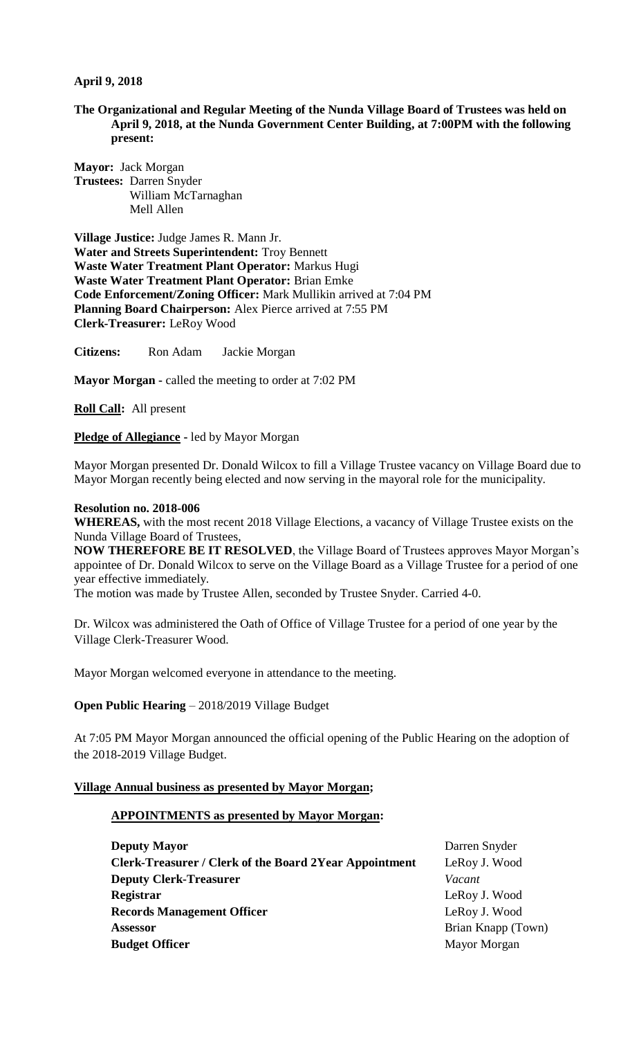### **April 9, 2018**

#### **The Organizational and Regular Meeting of the Nunda Village Board of Trustees was held on April 9, 2018, at the Nunda Government Center Building, at 7:00PM with the following present:**

**Mayor:** Jack Morgan **Trustees:** Darren Snyder William McTarnaghan Mell Allen

**Village Justice:** Judge James R. Mann Jr. **Water and Streets Superintendent:** Troy Bennett **Waste Water Treatment Plant Operator:** Markus Hugi **Waste Water Treatment Plant Operator:** Brian Emke **Code Enforcement/Zoning Officer:** Mark Mullikin arrived at 7:04 PM **Planning Board Chairperson:** Alex Pierce arrived at 7:55 PM **Clerk-Treasurer:** LeRoy Wood

**Citizens:** Ron Adam Jackie Morgan

**Mayor Morgan -** called the meeting to order at 7:02 PM

**Roll Call:** All present

**Pledge of Allegiance -** led by Mayor Morgan

Mayor Morgan presented Dr. Donald Wilcox to fill a Village Trustee vacancy on Village Board due to Mayor Morgan recently being elected and now serving in the mayoral role for the municipality.

#### **Resolution no. 2018-006**

**WHEREAS,** with the most recent 2018 Village Elections, a vacancy of Village Trustee exists on the Nunda Village Board of Trustees,

**NOW THEREFORE BE IT RESOLVED**, the Village Board of Trustees approves Mayor Morgan's appointee of Dr. Donald Wilcox to serve on the Village Board as a Village Trustee for a period of one year effective immediately.

The motion was made by Trustee Allen, seconded by Trustee Snyder. Carried 4-0.

Dr. Wilcox was administered the Oath of Office of Village Trustee for a period of one year by the Village Clerk-Treasurer Wood.

Mayor Morgan welcomed everyone in attendance to the meeting.

#### **Open Public Hearing** – 2018/2019 Village Budget

At 7:05 PM Mayor Morgan announced the official opening of the Public Hearing on the adoption of the 2018-2019 Village Budget.

#### **Village Annual business as presented by Mayor Morgan;**

#### **APPOINTMENTS as presented by Mayor Morgan:**

| <b>Deputy Mayor</b>                                           | Darren Snyder      |
|---------------------------------------------------------------|--------------------|
| <b>Clerk-Treasurer / Clerk of the Board 2Year Appointment</b> | LeRoy J. Wood      |
| <b>Deputy Clerk-Treasurer</b>                                 | Vacant             |
| Registrar                                                     | LeRoy J. Wood      |
| <b>Records Management Officer</b>                             | LeRoy J. Wood      |
| <b>Assessor</b>                                               | Brian Knapp (Town) |
| <b>Budget Officer</b>                                         | Mayor Morgan       |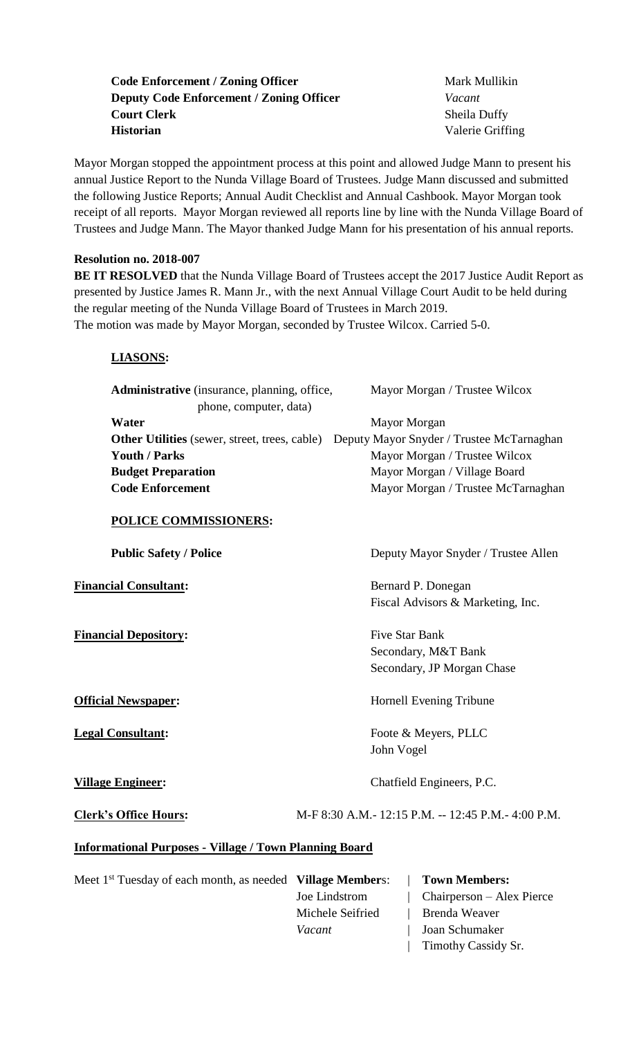# **Code Enforcement / Zoning Officer Mark Mullikin Deputy Code Enforcement / Zoning Officer** *Vacant* **Court Clerk** Sheila Duffy **Historian** Valerie Griffing

Mayor Morgan stopped the appointment process at this point and allowed Judge Mann to present his annual Justice Report to the Nunda Village Board of Trustees. Judge Mann discussed and submitted the following Justice Reports; Annual Audit Checklist and Annual Cashbook. Mayor Morgan took receipt of all reports. Mayor Morgan reviewed all reports line by line with the Nunda Village Board of Trustees and Judge Mann. The Mayor thanked Judge Mann for his presentation of his annual reports.

# **Resolution no. 2018-007**

**BE IT RESOLVED** that the Nunda Village Board of Trustees accept the 2017 Justice Audit Report as presented by Justice James R. Mann Jr., with the next Annual Village Court Audit to be held during the regular meeting of the Nunda Village Board of Trustees in March 2019. The motion was made by Mayor Morgan, seconded by Trustee Wilcox. Carried 5-0.

# **LIASONS:**

| Mayor Morgan / Trustee Wilcox                                                                  |
|------------------------------------------------------------------------------------------------|
|                                                                                                |
|                                                                                                |
| <b>Other Utilities</b> (sewer, street, trees, cable) Deputy Mayor Snyder / Trustee McTarnaghan |
| Mayor Morgan / Trustee Wilcox                                                                  |
| Mayor Morgan / Village Board                                                                   |
| Mayor Morgan / Trustee McTarnaghan                                                             |
|                                                                                                |

## **POLICE COMMISSIONERS:**

**Financial Depository:** Five Star Bank

**Public Safety / Police** Deputy Mayor Snyder / Trustee Allen

**Financial Consultant:** Bernard P. Donegan Fiscal Advisors & Marketing, Inc.

> Secondary, M&T Bank Secondary, JP Morgan Chase

**Official Newspaper:** Hornell Evening Tribune

**Legal Consultant:** Foote & Meyers, PLLC John Vogel

**Village Engineer:** Chatfield Engineers, P.C.

**Clerk's Office Hours:** M-F 8:30 A.M.- 12:15 P.M. -- 12:45 P.M.- 4:00 P.M.

## **Informational Purposes - Village / Town Planning Board**

Meet 1<sup>st</sup> Tuesday of each month, as needed **Village Members:** | **Town Members:** 

Michele Seifried | Brenda Weaver *Vacant* | Joan Schumaker

Joe Lindstrom | Chairperson – Alex Pierce

| Timothy Cassidy Sr.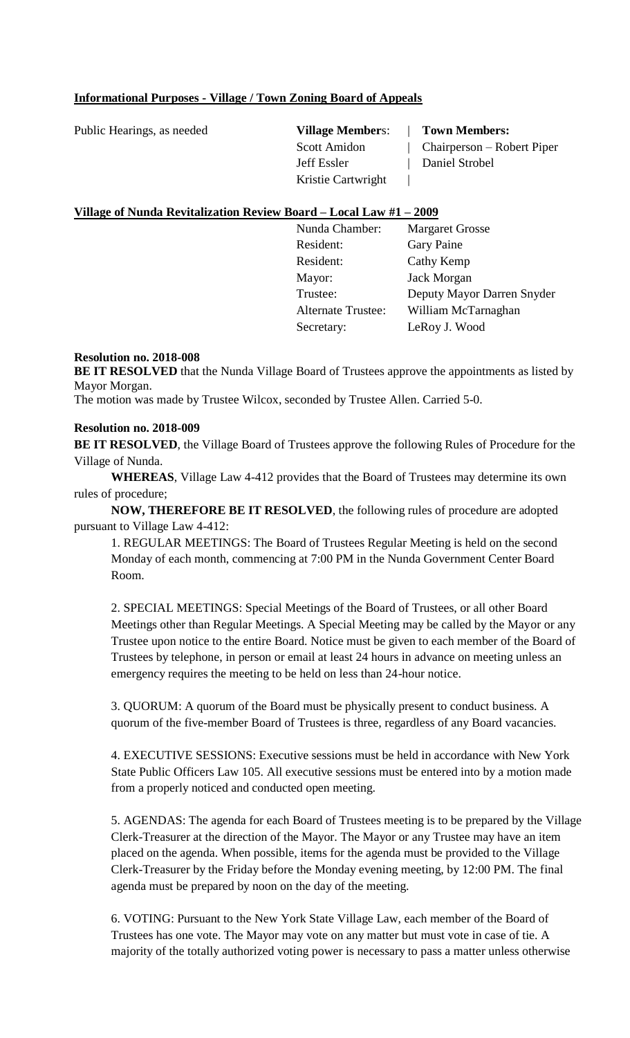## **Informational Purposes - Village / Town Zoning Board of Appeals**

Public Hearings, as needed **Village Member**s: | **Town Members:**

Jeff Essler | Daniel Strobel Kristie Cartwright |

Scott Amidon | Chairperson – Robert Piper

## **Village of Nunda Revitalization Review Board – Local Law #1 – 2009**

Nunda Chamber: Margaret Grosse Resident: Gary Paine Resident: Cathy Kemp Mayor: Jack Morgan Trustee: Deputy Mayor Darren Snyder Alternate Trustee: William McTarnaghan Secretary: LeRoy J. Wood

### **Resolution no. 2018-008**

**BE IT RESOLVED** that the Nunda Village Board of Trustees approve the appointments as listed by Mayor Morgan.

The motion was made by Trustee Wilcox, seconded by Trustee Allen. Carried 5-0.

### **Resolution no. 2018-009**

**BE IT RESOLVED**, the Village Board of Trustees approve the following Rules of Procedure for the Village of Nunda.

**WHEREAS**, Village Law 4-412 provides that the Board of Trustees may determine its own rules of procedure;

**NOW, THEREFORE BE IT RESOLVED**, the following rules of procedure are adopted pursuant to Village Law 4-412:

1. REGULAR MEETINGS: The Board of Trustees Regular Meeting is held on the second Monday of each month, commencing at 7:00 PM in the Nunda Government Center Board Room.

2. SPECIAL MEETINGS: Special Meetings of the Board of Trustees, or all other Board Meetings other than Regular Meetings. A Special Meeting may be called by the Mayor or any Trustee upon notice to the entire Board. Notice must be given to each member of the Board of Trustees by telephone, in person or email at least 24 hours in advance on meeting unless an emergency requires the meeting to be held on less than 24-hour notice.

3. QUORUM: A quorum of the Board must be physically present to conduct business. A quorum of the five-member Board of Trustees is three, regardless of any Board vacancies.

4. EXECUTIVE SESSIONS: Executive sessions must be held in accordance with New York State Public Officers Law 105. All executive sessions must be entered into by a motion made from a properly noticed and conducted open meeting.

5. AGENDAS: The agenda for each Board of Trustees meeting is to be prepared by the Village Clerk-Treasurer at the direction of the Mayor. The Mayor or any Trustee may have an item placed on the agenda. When possible, items for the agenda must be provided to the Village Clerk-Treasurer by the Friday before the Monday evening meeting, by 12:00 PM. The final agenda must be prepared by noon on the day of the meeting.

6. VOTING: Pursuant to the New York State Village Law, each member of the Board of Trustees has one vote. The Mayor may vote on any matter but must vote in case of tie. A majority of the totally authorized voting power is necessary to pass a matter unless otherwise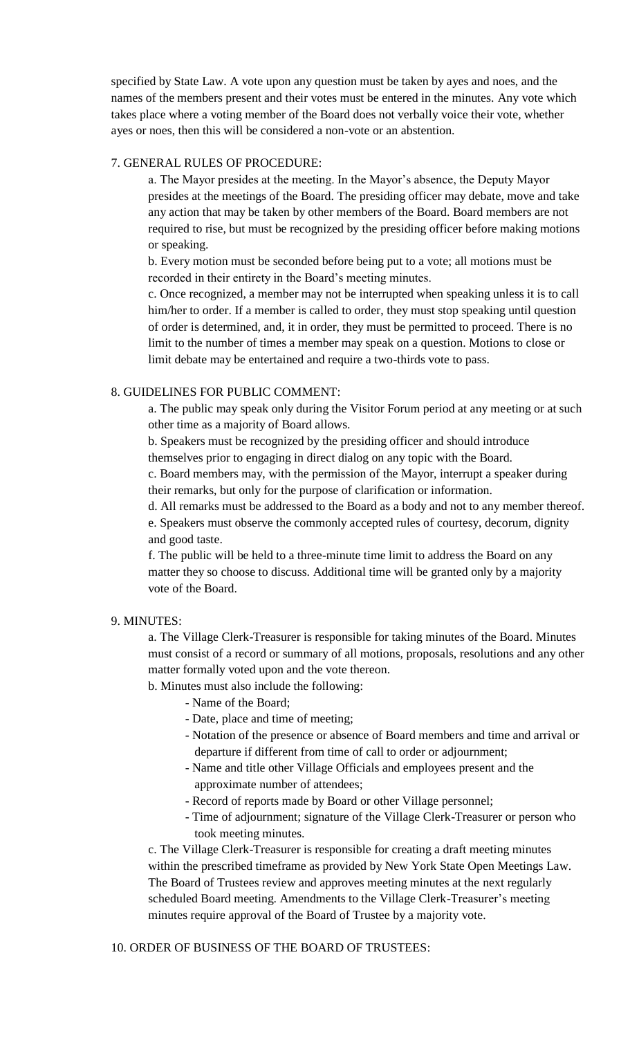specified by State Law. A vote upon any question must be taken by ayes and noes, and the names of the members present and their votes must be entered in the minutes. Any vote which takes place where a voting member of the Board does not verbally voice their vote, whether ayes or noes, then this will be considered a non-vote or an abstention.

### 7. GENERAL RULES OF PROCEDURE:

a. The Mayor presides at the meeting. In the Mayor's absence, the Deputy Mayor presides at the meetings of the Board. The presiding officer may debate, move and take any action that may be taken by other members of the Board. Board members are not required to rise, but must be recognized by the presiding officer before making motions or speaking.

b. Every motion must be seconded before being put to a vote; all motions must be recorded in their entirety in the Board's meeting minutes.

c. Once recognized, a member may not be interrupted when speaking unless it is to call him/her to order. If a member is called to order, they must stop speaking until question of order is determined, and, it in order, they must be permitted to proceed. There is no limit to the number of times a member may speak on a question. Motions to close or limit debate may be entertained and require a two-thirds vote to pass.

### 8. GUIDELINES FOR PUBLIC COMMENT:

a. The public may speak only during the Visitor Forum period at any meeting or at such other time as a majority of Board allows.

b. Speakers must be recognized by the presiding officer and should introduce themselves prior to engaging in direct dialog on any topic with the Board.

c. Board members may, with the permission of the Mayor, interrupt a speaker during their remarks, but only for the purpose of clarification or information.

d. All remarks must be addressed to the Board as a body and not to any member thereof. e. Speakers must observe the commonly accepted rules of courtesy, decorum, dignity and good taste.

f. The public will be held to a three-minute time limit to address the Board on any matter they so choose to discuss. Additional time will be granted only by a majority vote of the Board.

#### 9. MINUTES:

a. The Village Clerk-Treasurer is responsible for taking minutes of the Board. Minutes must consist of a record or summary of all motions, proposals, resolutions and any other matter formally voted upon and the vote thereon.

b. Minutes must also include the following:

- Name of the Board;
- Date, place and time of meeting;
- Notation of the presence or absence of Board members and time and arrival or departure if different from time of call to order or adjournment;
- Name and title other Village Officials and employees present and the approximate number of attendees;
- Record of reports made by Board or other Village personnel;
- Time of adjournment; signature of the Village Clerk-Treasurer or person who took meeting minutes.

c. The Village Clerk-Treasurer is responsible for creating a draft meeting minutes within the prescribed timeframe as provided by New York State Open Meetings Law. The Board of Trustees review and approves meeting minutes at the next regularly scheduled Board meeting. Amendments to the Village Clerk-Treasurer's meeting minutes require approval of the Board of Trustee by a majority vote.

#### 10. ORDER OF BUSINESS OF THE BOARD OF TRUSTEES: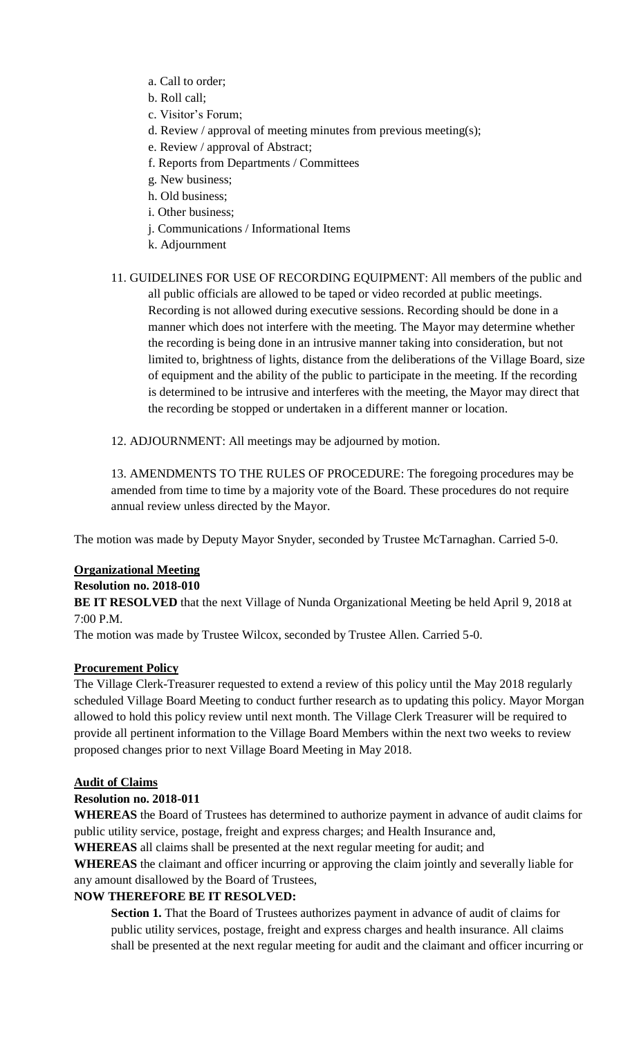- a. Call to order;
- b. Roll call;
- c. Visitor's Forum;
- d. Review / approval of meeting minutes from previous meeting(s);
- e. Review / approval of Abstract;
- f. Reports from Departments / Committees
- g. New business;
- h. Old business;
- i. Other business;
- j. Communications / Informational Items
- k. Adjournment
- 11. GUIDELINES FOR USE OF RECORDING EQUIPMENT: All members of the public and all public officials are allowed to be taped or video recorded at public meetings. Recording is not allowed during executive sessions. Recording should be done in a manner which does not interfere with the meeting. The Mayor may determine whether the recording is being done in an intrusive manner taking into consideration, but not limited to, brightness of lights, distance from the deliberations of the Village Board, size of equipment and the ability of the public to participate in the meeting. If the recording is determined to be intrusive and interferes with the meeting, the Mayor may direct that the recording be stopped or undertaken in a different manner or location.
- 12. ADJOURNMENT: All meetings may be adjourned by motion.

13. AMENDMENTS TO THE RULES OF PROCEDURE: The foregoing procedures may be amended from time to time by a majority vote of the Board. These procedures do not require annual review unless directed by the Mayor.

The motion was made by Deputy Mayor Snyder, seconded by Trustee McTarnaghan. Carried 5-0.

### **Organizational Meeting**

### **Resolution no. 2018-010**

**BE IT RESOLVED** that the next Village of Nunda Organizational Meeting be held April 9, 2018 at 7:00 P.M.

The motion was made by Trustee Wilcox, seconded by Trustee Allen. Carried 5-0.

### **Procurement Policy**

The Village Clerk-Treasurer requested to extend a review of this policy until the May 2018 regularly scheduled Village Board Meeting to conduct further research as to updating this policy. Mayor Morgan allowed to hold this policy review until next month. The Village Clerk Treasurer will be required to provide all pertinent information to the Village Board Members within the next two weeks to review proposed changes prior to next Village Board Meeting in May 2018.

### **Audit of Claims**

### **Resolution no. 2018-011**

**WHEREAS** the Board of Trustees has determined to authorize payment in advance of audit claims for public utility service, postage, freight and express charges; and Health Insurance and,

**WHEREAS** all claims shall be presented at the next regular meeting for audit; and

**WHEREAS** the claimant and officer incurring or approving the claim jointly and severally liable for any amount disallowed by the Board of Trustees,

### **NOW THEREFORE BE IT RESOLVED:**

**Section 1.** That the Board of Trustees authorizes payment in advance of audit of claims for public utility services, postage, freight and express charges and health insurance. All claims shall be presented at the next regular meeting for audit and the claimant and officer incurring or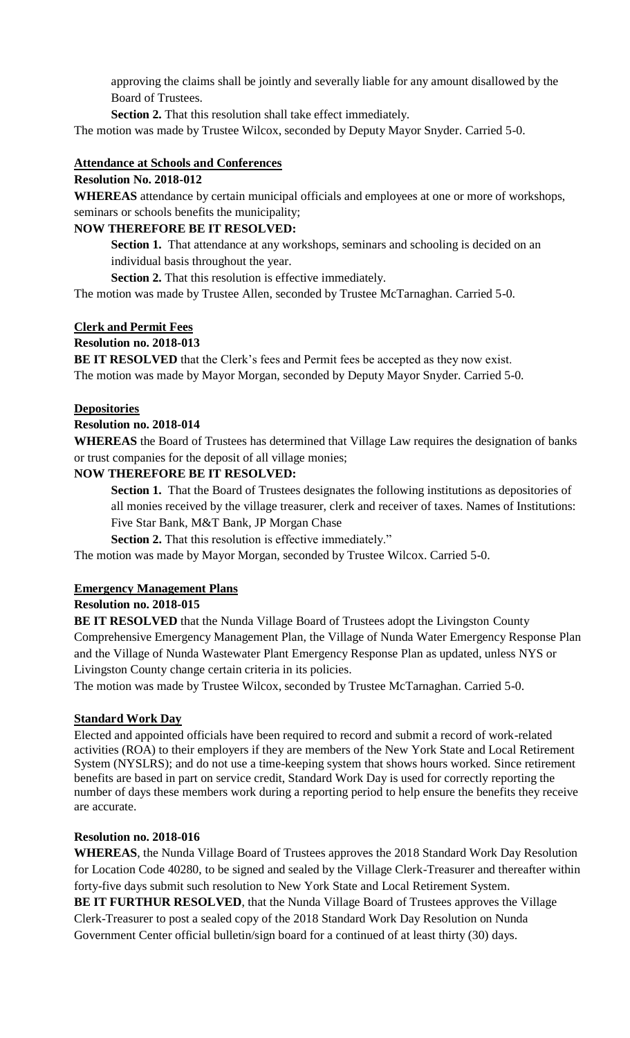approving the claims shall be jointly and severally liable for any amount disallowed by the Board of Trustees.

**Section 2.** That this resolution shall take effect immediately.

The motion was made by Trustee Wilcox, seconded by Deputy Mayor Snyder. Carried 5-0.

### **Attendance at Schools and Conferences**

### **Resolution No. 2018-012**

**WHEREAS** attendance by certain municipal officials and employees at one or more of workshops, seminars or schools benefits the municipality;

### **NOW THEREFORE BE IT RESOLVED:**

**Section 1.** That attendance at any workshops, seminars and schooling is decided on an individual basis throughout the year.

**Section 2.** That this resolution is effective immediately.

The motion was made by Trustee Allen, seconded by Trustee McTarnaghan. Carried 5-0.

## **Clerk and Permit Fees**

### **Resolution no. 2018-013**

**BE IT RESOLVED** that the Clerk's fees and Permit fees be accepted as they now exist. The motion was made by Mayor Morgan, seconded by Deputy Mayor Snyder. Carried 5-0.

### **Depositories**

### **Resolution no. 2018-014**

**WHEREAS** the Board of Trustees has determined that Village Law requires the designation of banks or trust companies for the deposit of all village monies;

### **NOW THEREFORE BE IT RESOLVED:**

**Section 1.** That the Board of Trustees designates the following institutions as depositories of all monies received by the village treasurer, clerk and receiver of taxes. Names of Institutions: Five Star Bank, M&T Bank, JP Morgan Chase

**Section 2.** That this resolution is effective immediately."

The motion was made by Mayor Morgan, seconded by Trustee Wilcox. Carried 5-0.

### **Emergency Management Plans**

### **Resolution no. 2018-015**

**BE IT RESOLVED** that the Nunda Village Board of Trustees adopt the Livingston County Comprehensive Emergency Management Plan, the Village of Nunda Water Emergency Response Plan and the Village of Nunda Wastewater Plant Emergency Response Plan as updated, unless NYS or Livingston County change certain criteria in its policies.

The motion was made by Trustee Wilcox, seconded by Trustee McTarnaghan. Carried 5-0.

### **Standard Work Day**

Elected and appointed officials have been required to record and submit a record of work-related activities (ROA) to their employers if they are members of the New York State and Local Retirement System (NYSLRS); and do not use a time-keeping system that shows hours worked. Since retirement benefits are based in part on service credit, Standard Work Day is used for correctly reporting the number of days these members work during a reporting period to help ensure the benefits they receive are accurate.

### **Resolution no. 2018-016**

**WHEREAS**, the Nunda Village Board of Trustees approves the 2018 Standard Work Day Resolution for Location Code 40280, to be signed and sealed by the Village Clerk-Treasurer and thereafter within forty-five days submit such resolution to New York State and Local Retirement System.

**BE IT FURTHUR RESOLVED**, that the Nunda Village Board of Trustees approves the Village Clerk-Treasurer to post a sealed copy of the 2018 Standard Work Day Resolution on Nunda Government Center official bulletin/sign board for a continued of at least thirty (30) days.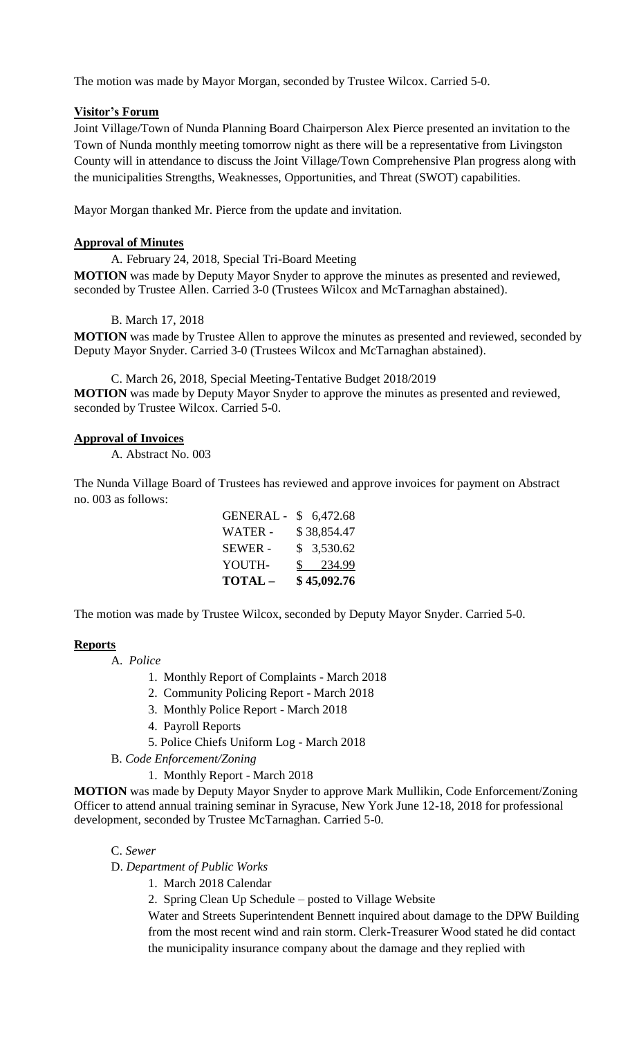The motion was made by Mayor Morgan, seconded by Trustee Wilcox. Carried 5-0.

## **Visitor's Forum**

Joint Village/Town of Nunda Planning Board Chairperson Alex Pierce presented an invitation to the Town of Nunda monthly meeting tomorrow night as there will be a representative from Livingston County will in attendance to discuss the Joint Village/Town Comprehensive Plan progress along with the municipalities Strengths, Weaknesses, Opportunities, and Threat (SWOT) capabilities.

Mayor Morgan thanked Mr. Pierce from the update and invitation.

## **Approval of Minutes**

A. February 24, 2018, Special Tri-Board Meeting

**MOTION** was made by Deputy Mayor Snyder to approve the minutes as presented and reviewed, seconded by Trustee Allen. Carried 3-0 (Trustees Wilcox and McTarnaghan abstained).

B. March 17, 2018

**MOTION** was made by Trustee Allen to approve the minutes as presented and reviewed, seconded by Deputy Mayor Snyder. Carried 3-0 (Trustees Wilcox and McTarnaghan abstained).

C. March 26, 2018, Special Meeting-Tentative Budget 2018/2019 **MOTION** was made by Deputy Mayor Snyder to approve the minutes as presented and reviewed, seconded by Trustee Wilcox. Carried 5-0.

### **Approval of Invoices**

A. Abstract No. 003

The Nunda Village Board of Trustees has reviewed and approve invoices for payment on Abstract no. 003 as follows:

| TOTAL-           | \$45,092.76 |
|------------------|-------------|
| YOUTH-           | \$ 234.99   |
| <b>SEWER -</b>   | \$3,530.62  |
| WATER -          | \$38,854.47 |
| <b>GENERAL -</b> | \$6,472.68  |

The motion was made by Trustee Wilcox, seconded by Deputy Mayor Snyder. Carried 5-0.

### **Reports**

A. *Police*

1. Monthly Report of Complaints - March 2018

- 2. Community Policing Report March 2018
- 3. Monthly Police Report March 2018
- 4. Payroll Reports
- 5. Police Chiefs Uniform Log March 2018
- B. *Code Enforcement/Zoning*
	- 1. Monthly Report March 2018

**MOTION** was made by Deputy Mayor Snyder to approve Mark Mullikin, Code Enforcement/Zoning Officer to attend annual training seminar in Syracuse, New York June 12-18, 2018 for professional development, seconded by Trustee McTarnaghan. Carried 5-0.

C. *Sewer*

D. *Department of Public Works*

- 1. March 2018 Calendar
- 2. Spring Clean Up Schedule posted to Village Website

Water and Streets Superintendent Bennett inquired about damage to the DPW Building from the most recent wind and rain storm. Clerk-Treasurer Wood stated he did contact the municipality insurance company about the damage and they replied with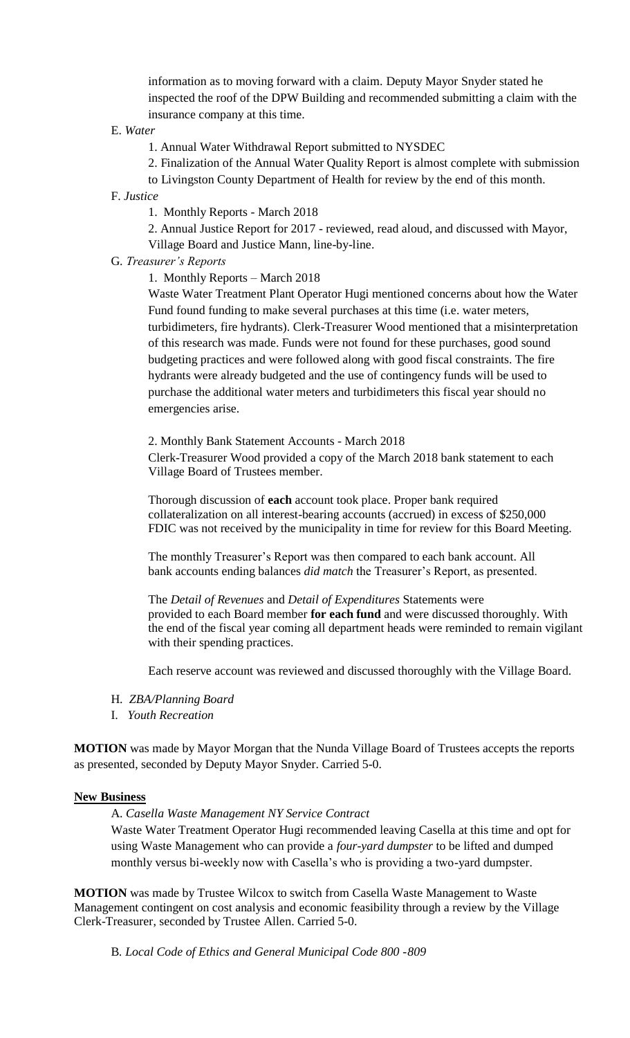information as to moving forward with a claim. Deputy Mayor Snyder stated he inspected the roof of the DPW Building and recommended submitting a claim with the insurance company at this time.

E. *Water*

1. Annual Water Withdrawal Report submitted to NYSDEC

2. Finalization of the Annual Water Quality Report is almost complete with submission

to Livingston County Department of Health for review by the end of this month.

F. *Justice*

1. Monthly Reports - March 2018

2. Annual Justice Report for 2017 - reviewed, read aloud, and discussed with Mayor, Village Board and Justice Mann, line-by-line.

G. *Treasurer's Reports*

1. Monthly Reports – March 2018

Waste Water Treatment Plant Operator Hugi mentioned concerns about how the Water Fund found funding to make several purchases at this time (i.e. water meters, turbidimeters, fire hydrants). Clerk-Treasurer Wood mentioned that a misinterpretation of this research was made. Funds were not found for these purchases, good sound budgeting practices and were followed along with good fiscal constraints. The fire hydrants were already budgeted and the use of contingency funds will be used to purchase the additional water meters and turbidimeters this fiscal year should no emergencies arise.

2. Monthly Bank Statement Accounts - March 2018 Clerk-Treasurer Wood provided a copy of the March 2018 bank statement to each Village Board of Trustees member.

Thorough discussion of **each** account took place. Proper bank required collateralization on all interest-bearing accounts (accrued) in excess of \$250,000 FDIC was not received by the municipality in time for review for this Board Meeting.

The monthly Treasurer's Report was then compared to each bank account. All bank accounts ending balances *did match* the Treasurer's Report, as presented.

The *Detail of Revenues* and *Detail of Expenditures* Statements were provided to each Board member **for each fund** and were discussed thoroughly. With the end of the fiscal year coming all department heads were reminded to remain vigilant with their spending practices.

Each reserve account was reviewed and discussed thoroughly with the Village Board.

- H. *ZBA/Planning Board*
- I. *Youth Recreation*

**MOTION** was made by Mayor Morgan that the Nunda Village Board of Trustees accepts the reports as presented, seconded by Deputy Mayor Snyder. Carried 5-0.

#### **New Business**

A. *Casella Waste Management NY Service Contract*

Waste Water Treatment Operator Hugi recommended leaving Casella at this time and opt for using Waste Management who can provide a *four-yard dumpster* to be lifted and dumped monthly versus bi-weekly now with Casella's who is providing a two-yard dumpster.

**MOTION** was made by Trustee Wilcox to switch from Casella Waste Management to Waste Management contingent on cost analysis and economic feasibility through a review by the Village Clerk-Treasurer, seconded by Trustee Allen. Carried 5-0.

B*. Local Code of Ethics and General Municipal Code 800 -809*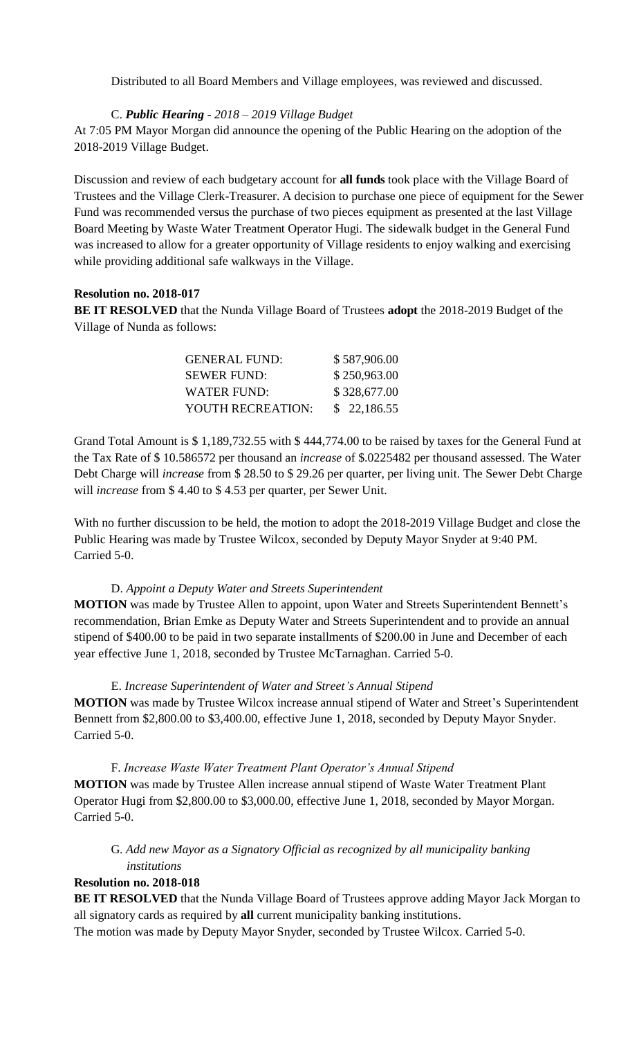Distributed to all Board Members and Village employees, was reviewed and discussed.

## C. *Public Hearing - 2018 – 2019 Village Budget*

At 7:05 PM Mayor Morgan did announce the opening of the Public Hearing on the adoption of the 2018-2019 Village Budget.

Discussion and review of each budgetary account for **all funds** took place with the Village Board of Trustees and the Village Clerk-Treasurer. A decision to purchase one piece of equipment for the Sewer Fund was recommended versus the purchase of two pieces equipment as presented at the last Village Board Meeting by Waste Water Treatment Operator Hugi. The sidewalk budget in the General Fund was increased to allow for a greater opportunity of Village residents to enjoy walking and exercising while providing additional safe walkways in the Village.

### **Resolution no. 2018-017**

**BE IT RESOLVED** that the Nunda Village Board of Trustees **adopt** the 2018-2019 Budget of the Village of Nunda as follows:

| <b>GENERAL FUND:</b> | \$587,906.00 |
|----------------------|--------------|
| <b>SEWER FUND:</b>   | \$250,963.00 |
| WATER FUND:          | \$328,677.00 |
| YOUTH RECREATION:    | \$22,186.55  |

Grand Total Amount is \$ 1,189,732.55 with \$ 444,774.00 to be raised by taxes for the General Fund at the Tax Rate of \$ 10.586572 per thousand an *increase* of \$.0225482 per thousand assessed. The Water Debt Charge will *increase* from \$ 28.50 to \$ 29.26 per quarter, per living unit. The Sewer Debt Charge will *increase* from \$ 4.40 to \$ 4.53 per quarter, per Sewer Unit.

With no further discussion to be held, the motion to adopt the 2018-2019 Village Budget and close the Public Hearing was made by Trustee Wilcox, seconded by Deputy Mayor Snyder at 9:40 PM. Carried 5-0.

### D. *Appoint a Deputy Water and Streets Superintendent*

**MOTION** was made by Trustee Allen to appoint, upon Water and Streets Superintendent Bennett's recommendation, Brian Emke as Deputy Water and Streets Superintendent and to provide an annual stipend of \$400.00 to be paid in two separate installments of \$200.00 in June and December of each year effective June 1, 2018, seconded by Trustee McTarnaghan. Carried 5-0.

### E. *Increase Superintendent of Water and Street's Annual Stipend*

**MOTION** was made by Trustee Wilcox increase annual stipend of Water and Street's Superintendent Bennett from \$2,800.00 to \$3,400.00, effective June 1, 2018, seconded by Deputy Mayor Snyder. Carried 5-0.

F. *Increase Waste Water Treatment Plant Operator's Annual Stipend* **MOTION** was made by Trustee Allen increase annual stipend of Waste Water Treatment Plant Operator Hugi from \$2,800.00 to \$3,000.00, effective June 1, 2018, seconded by Mayor Morgan. Carried 5-0.

# G. *Add new Mayor as a Signatory Official as recognized by all municipality banking institutions*

## **Resolution no. 2018-018**

**BE IT RESOLVED** that the Nunda Village Board of Trustees approve adding Mayor Jack Morgan to all signatory cards as required by **all** current municipality banking institutions. The motion was made by Deputy Mayor Snyder, seconded by Trustee Wilcox. Carried 5-0.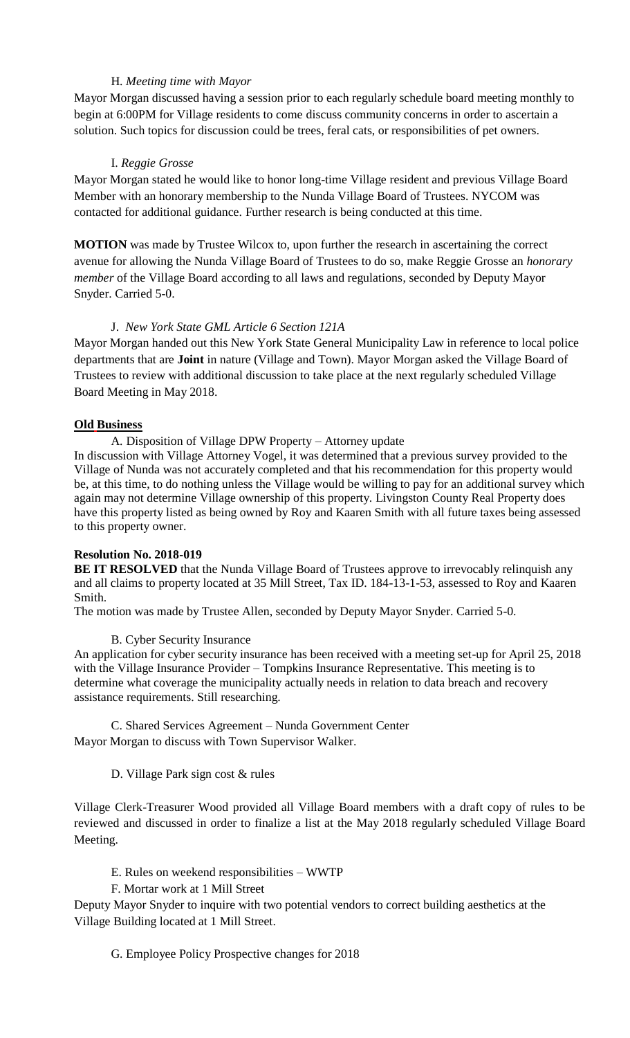## H. *Meeting time with Mayor*

Mayor Morgan discussed having a session prior to each regularly schedule board meeting monthly to begin at 6:00PM for Village residents to come discuss community concerns in order to ascertain a solution. Such topics for discussion could be trees, feral cats, or responsibilities of pet owners.

### I. *Reggie Grosse*

Mayor Morgan stated he would like to honor long-time Village resident and previous Village Board Member with an honorary membership to the Nunda Village Board of Trustees. NYCOM was contacted for additional guidance. Further research is being conducted at this time.

**MOTION** was made by Trustee Wilcox to, upon further the research in ascertaining the correct avenue for allowing the Nunda Village Board of Trustees to do so, make Reggie Grosse an *honorary member* of the Village Board according to all laws and regulations, seconded by Deputy Mayor Snyder. Carried 5-0.

### J. *New York State GML Article 6 Section 121A*

Mayor Morgan handed out this New York State General Municipality Law in reference to local police departments that are **Joint** in nature (Village and Town). Mayor Morgan asked the Village Board of Trustees to review with additional discussion to take place at the next regularly scheduled Village Board Meeting in May 2018.

### **Old Business**

A. Disposition of Village DPW Property – Attorney update

In discussion with Village Attorney Vogel, it was determined that a previous survey provided to the Village of Nunda was not accurately completed and that his recommendation for this property would be, at this time, to do nothing unless the Village would be willing to pay for an additional survey which again may not determine Village ownership of this property. Livingston County Real Property does have this property listed as being owned by Roy and Kaaren Smith with all future taxes being assessed to this property owner.

### **Resolution No. 2018-019**

**BE IT RESOLVED** that the Nunda Village Board of Trustees approve to irrevocably relinquish any and all claims to property located at 35 Mill Street, Tax ID. 184-13-1-53, assessed to Roy and Kaaren Smith.

The motion was made by Trustee Allen, seconded by Deputy Mayor Snyder. Carried 5-0.

## B. Cyber Security Insurance

An application for cyber security insurance has been received with a meeting set-up for April 25, 2018 with the Village Insurance Provider – Tompkins Insurance Representative. This meeting is to determine what coverage the municipality actually needs in relation to data breach and recovery assistance requirements. Still researching.

C. Shared Services Agreement – Nunda Government Center Mayor Morgan to discuss with Town Supervisor Walker.

## D. Village Park sign cost & rules

Village Clerk-Treasurer Wood provided all Village Board members with a draft copy of rules to be reviewed and discussed in order to finalize a list at the May 2018 regularly scheduled Village Board Meeting.

- E. Rules on weekend responsibilities WWTP
- F. Mortar work at 1 Mill Street

Deputy Mayor Snyder to inquire with two potential vendors to correct building aesthetics at the Village Building located at 1 Mill Street.

G. Employee Policy Prospective changes for 2018